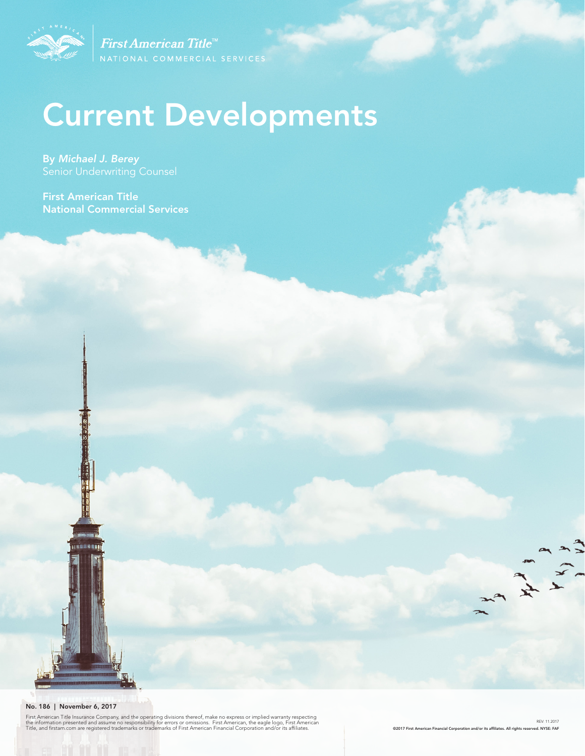

First American Title<sup>™</sup>

# Current Developments

By *Michael J. Berey* 

First American Title National Commercial Services



First American Title Insurance Company, and the operating divisions thereof, make no express or implied warranty respecting<br>the information presented and assume no responsibility for errors or omissions. First American, th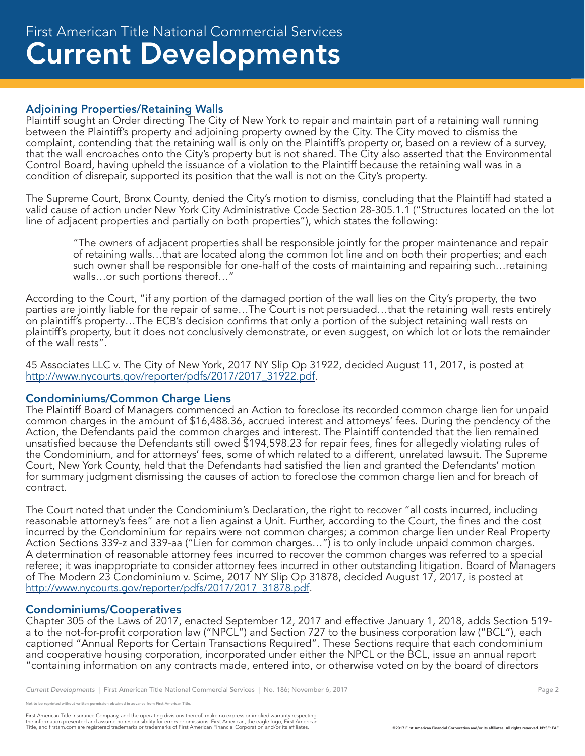# Adjoining Properties/Retaining Walls

Plaintiff sought an Order directing The City of New York to repair and maintain part of a retaining wall running between the Plaintiff's property and adjoining property owned by the City. The City moved to dismiss the complaint, contending that the retaining wall is only on the Plaintiff's property or, based on a review of a survey, that the wall encroaches onto the City's property but is not shared. The City also asserted that the Environmental Control Board, having upheld the issuance of a violation to the Plaintiff because the retaining wall was in a condition of disrepair, supported its position that the wall is not on the City's property.

The Supreme Court, Bronx County, denied the City's motion to dismiss, concluding that the Plaintiff had stated a valid cause of action under New York City Administrative Code Section 28-305.1.1 ("Structures located on the lot line of adjacent properties and partially on both properties"), which states the following:

"The owners of adjacent properties shall be responsible jointly for the proper maintenance and repair of retaining walls…that are located along the common lot line and on both their properties; and each such owner shall be responsible for one-half of the costs of maintaining and repairing such…retaining walls…or such portions thereof…"

According to the Court, "if any portion of the damaged portion of the wall lies on the City's property, the two parties are jointly liable for the repair of same…The Court is not persuaded…that the retaining wall rests entirely on plaintiff's property…The ECB's decision confirms that only a portion of the subject retaining wall rests on plaintiff's property, but it does not conclusively demonstrate, or even suggest, on which lot or lots the remainder of the wall rests".

45 Associates LLC v. The City of New York, 2017 NY Slip Op 31922, decided August 11, 2017, is posted at http://www.nycourts.gov/reporter/pdfs/2017/2017\_31922.pdf.

#### Condominiums/Common Charge Liens

The Plaintiff Board of Managers commenced an Action to foreclose its recorded common charge lien for unpaid common charges in the amount of \$16,488.36, accrued interest and attorneys' fees. During the pendency of the Action, the Defendants paid the common charges and interest. The Plaintiff contended that the lien remained unsatisfied because the Defendants still owed \$194,598.23 for repair fees, fines for allegedly violating rules of the Condominium, and for attorneys' fees, some of which related to a different, unrelated lawsuit. The Supreme Court, New York County, held that the Defendants had satisfied the lien and granted the Defendants' motion for summary judgment dismissing the causes of action to foreclose the common charge lien and for breach of contract.

The Court noted that under the Condominium's Declaration, the right to recover "all costs incurred, including reasonable attorney's fees" are not a lien against a Unit. Further, according to the Court, the fines and the cost incurred by the Condominium for repairs were not common charges; a common charge lien under Real Property Action Sections 339-z and 339-aa ("Lien for common charges…") is to only include unpaid common charges. A determination of reasonable attorney fees incurred to recover the common charges was referred to a special referee; it was inappropriate to consider attorney fees incurred in other outstanding litigation. Board of Managers of The Modern 23 Condominium v. Scime, 2017 NY Slip Op 31878, decided August 17, 2017, is posted at http://www.nycourts.gov/reporter/pdfs/2017/2017\_31878.pdf.

#### Condominiums/Cooperatives

Chapter 305 of the Laws of 2017, enacted September 12, 2017 and effective January 1, 2018, adds Section 519 a to the not-for-profit corporation law ("NPCL") and Section 727 to the business corporation law ("BCL"), each captioned "Annual Reports for Certain Transactions Required". These Sections require that each condominium and cooperative housing corporation, incorporated under either the NPCL or the BCL, issue an annual report "containing information on any contracts made, entered into, or otherwise voted on by the board of directors

First American Title Insurance Company, and the operating divisions thereof, make no express or implied warranty respecting<br>the information presented and assume no responsibility for errors or omissions. First American end

e reprinted without written permission obtained in advance from First American Title.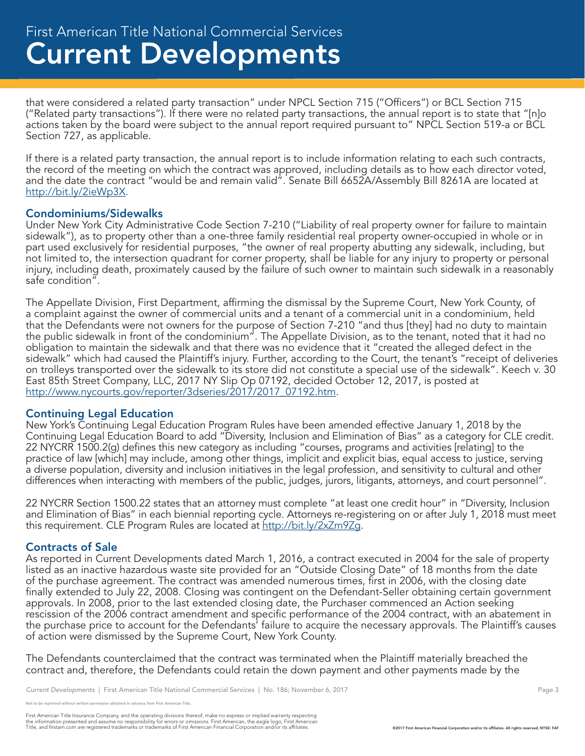that were considered a related party transaction" under NPCL Section 715 ("Officers") or BCL Section 715 ("Related party transactions"). If there were no related party transactions, the annual report is to state that "[n]o actions taken by the board were subject to the annual report required pursuant to" NPCL Section 519-a or BCL Section 727, as applicable.

If there is a related party transaction, the annual report is to include information relating to each such contracts, the record of the meeting on which the contract was approved, including details as to how each director voted, and the date the contract "would be and remain valid". Senate Bill 6652A/Assembly Bill 8261A are located at http://bit.ly/2ieWp3X.

#### Condominiums/Sidewalks

Under New York City Administrative Code Section 7-210 ("Liability of real property owner for failure to maintain sidewalk"), as to property other than a one-three family residential real property owner-occupied in whole or in part used exclusively for residential purposes, "the owner of real property abutting any sidewalk, including, but not limited to, the intersection quadrant for corner property, shall be liable for any injury to property or personal injury, including death, proximately caused by the failure of such owner to maintain such sidewalk in a reasonably safe condition".

The Appellate Division, First Department, affirming the dismissal by the Supreme Court, New York County, of a complaint against the owner of commercial units and a tenant of a commercial unit in a condominium, held that the Defendants were not owners for the purpose of Section 7-210 "and thus [they] had no duty to maintain the public sidewalk in front of the condominium". The Appellate Division, as to the tenant, noted that it had no obligation to maintain the sidewalk and that there was no evidence that it "created the alleged defect in the sidewalk" which had caused the Plaintiff's injury. Further, according to the Court, the tenant's "receipt of deliveries on trolleys transported over the sidewalk to its store did not constitute a special use of the sidewalk". Keech v. 30 East 85th Street Company, LLC, 2017 NY Slip Op 07192, decided October 12, 2017, is posted at http://www.nycourts.gov/reporter/3dseries/2017/2017\_07192.htm.

#### Continuing Legal Education

New York's Continuing Legal Education Program Rules have been amended effective January 1, 2018 by the Continuing Legal Education Board to add "Diversity, Inclusion and Elimination of Bias" as a category for CLE credit. 22 NYCRR 1500.2(g) defines this new category as including "courses, programs and activities [relating] to the practice of law [which] may include, among other things, implicit and explicit bias, equal access to justice, serving a diverse population, diversity and inclusion initiatives in the legal profession, and sensitivity to cultural and other differences when interacting with members of the public, judges, jurors, litigants, attorneys, and court personnel".

22 NYCRR Section 1500.22 states that an attorney must complete "at least one credit hour" in "Diversity, Inclusion and Elimination of Bias" in each biennial reporting cycle. Attorneys re-registering on or after July 1, 2018 must meet this requirement. CLE Program Rules are located at http://bit.ly/2xZm9Zg.

# Contracts of Sale

As reported in Current Developments dated March 1, 2016, a contract executed in 2004 for the sale of property listed as an inactive hazardous waste site provided for an "Outside Closing Date" of 18 months from the date of the purchase agreement. The contract was amended numerous times, first in 2006, with the closing date finally extended to July 22, 2008. Closing was contingent on the Defendant-Seller obtaining certain government approvals. In 2008, prior to the last extended closing date, the Purchaser commenced an Action seeking rescission of the 2006 contract amendment and specific performance of the 2004 contract, with an abatement in the purchase price to account for the Defendants' failure to acquire the necessary approvals. The Plaintiff's causes of action were dismissed by the Supreme Court, New York County.

The Defendants counterclaimed that the contract was terminated when the Plaintiff materially breached the contract and, therefore, the Defendants could retain the down payment and other payments made by the

.<br>Note reprinted without written permission obtained in advance from First American Title.

First American Title Insurance Company, and the operating divisions thereof, make no express or implied warranty respecting<br>the information presented and assume no responsibility for errors or omissions. First American end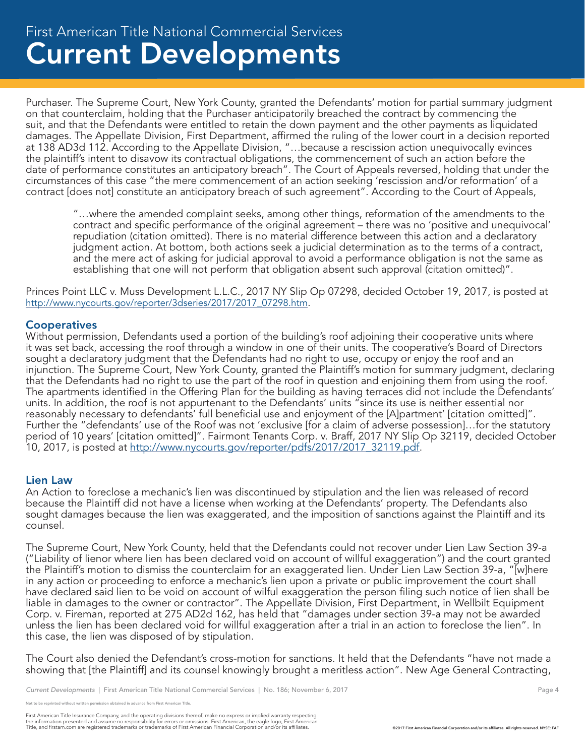# Current Developments First American Title National Commercial Services

Purchaser. The Supreme Court, New York County, granted the Defendants' motion for partial summary judgment on that counterclaim, holding that the Purchaser anticipatorily breached the contract by commencing the suit, and that the Defendants were entitled to retain the down payment and the other payments as liquidated damages. The Appellate Division, First Department, affirmed the ruling of the lower court in a decision reported at 138 AD3d 112. According to the Appellate Division, "…because a rescission action unequivocally evinces the plaintiff's intent to disavow its contractual obligations, the commencement of such an action before the date of performance constitutes an anticipatory breach". The Court of Appeals reversed, holding that under the circumstances of this case "the mere commencement of an action seeking 'rescission and/or reformation' of a contract [does not] constitute an anticipatory breach of such agreement". According to the Court of Appeals,

"…where the amended complaint seeks, among other things, reformation of the amendments to the contract and specific performance of the original agreement – there was no 'positive and unequivocal' repudiation (citation omitted). There is no material difference between this action and a declaratory judgment action. At bottom, both actions seek a judicial determination as to the terms of a contract, and the mere act of asking for judicial approval to avoid a performance obligation is not the same as establishing that one will not perform that obligation absent such approval (citation omitted)".

Princes Point LLC v. Muss Development L.L.C., 2017 NY Slip Op 07298, decided October 19, 2017, is posted at http://www.nycourts.gov/reporter/3dseries/2017/2017\_07298.htm.

#### **Cooperatives**

Without permission, Defendants used a portion of the building's roof adjoining their cooperative units where it was set back, accessing the roof through a window in one of their units. The cooperative's Board of Directors sought a declaratory judgment that the Defendants had no right to use, occupy or enjoy the roof and an injunction. The Supreme Court, New York County, granted the Plaintiff's motion for summary judgment, declaring that the Defendants had no right to use the part of the roof in question and enjoining them from using the roof. The apartments identified in the Offering Plan for the building as having terraces did not include the Defendants' units. In addition, the roof is not appurtenant to the Defendants' units "since its use is neither essential nor reasonably necessary to defendants' full beneficial use and enjoyment of the [A]partment' [citation omitted]". Further the "defendants' use of the Roof was not 'exclusive [for a claim of adverse possession]…for the statutory period of 10 years' [citation omitted]". Fairmont Tenants Corp. v. Braff, 2017 NY Slip Op 32119, decided October 10, 2017, is posted at http://www.nycourts.gov/reporter/pdfs/2017/2017\_32119.pdf.

#### Lien Law

An Action to foreclose a mechanic's lien was discontinued by stipulation and the lien was released of record because the Plaintiff did not have a license when working at the Defendants' property. The Defendants also sought damages because the lien was exaggerated, and the imposition of sanctions against the Plaintiff and its counsel.

The Supreme Court, New York County, held that the Defendants could not recover under Lien Law Section 39-a ("Liability of lienor where lien has been declared void on account of willful exaggeration") and the court granted the Plaintiff's motion to dismiss the counterclaim for an exaggerated lien. Under Lien Law Section 39-a, "[w]here in any action or proceeding to enforce a mechanic's lien upon a private or public improvement the court shall have declared said lien to be void on account of wilful exaggeration the person filing such notice of lien shall be liable in damages to the owner or contractor". The Appellate Division, First Department, in Wellbilt Equipment Corp. v. Fireman, reported at 275 AD2d 162, has held that "damages under section 39-a may not be awarded unless the lien has been declared void for willful exaggeration after a trial in an action to foreclose the lien". In this case, the lien was disposed of by stipulation.

The Court also denied the Defendant's cross-motion for sanctions. It held that the Defendants "have not made a showing that [the Plaintiff] and its counsel knowingly brought a meritless action". New Age General Contracting,

e reprinted without written permission obtained in advance from First American Title.

First American Title Insurance Company, and the operating divisions thereof, make no express or implied warranty respecting<br>the information presented and assume no responsibility for errors or omissions. First American end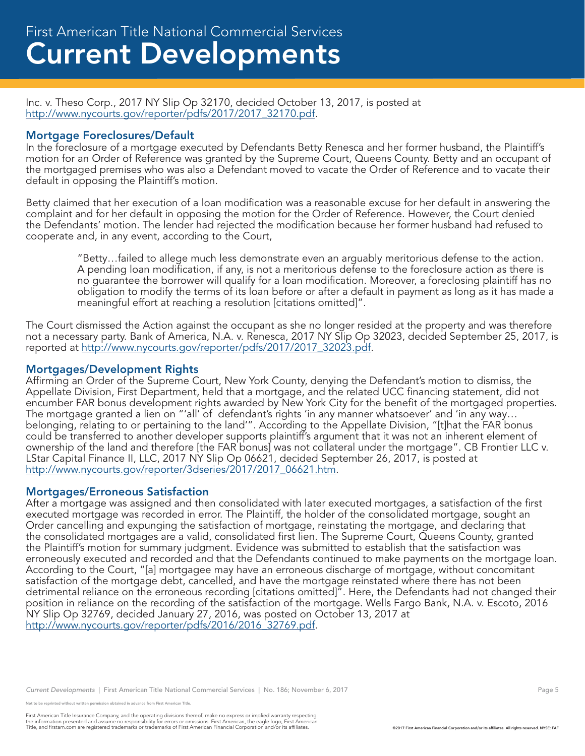Inc. v. Theso Corp., 2017 NY Slip Op 32170, decided October 13, 2017, is posted at http://www.nycourts.gov/reporter/pdfs/2017/2017\_32170.pdf.

#### Mortgage Foreclosures/Default

In the foreclosure of a mortgage executed by Defendants Betty Renesca and her former husband, the Plaintiff's motion for an Order of Reference was granted by the Supreme Court, Queens County. Betty and an occupant of the mortgaged premises who was also a Defendant moved to vacate the Order of Reference and to vacate their default in opposing the Plaintiff's motion.

Betty claimed that her execution of a loan modification was a reasonable excuse for her default in answering the complaint and for her default in opposing the motion for the Order of Reference. However, the Court denied the Defendants' motion. The lender had rejected the modification because her former husband had refused to cooperate and, in any event, according to the Court,

"Betty…failed to allege much less demonstrate even an arguably meritorious defense to the action. A pending loan modification, if any, is not a meritorious defense to the foreclosure action as there is no guarantee the borrower will qualify for a loan modification. Moreover, a foreclosing plaintiff has no obligation to modify the terms of its loan before or after a default in payment as long as it has made a meaningful effort at reaching a resolution [citations omitted]".

The Court dismissed the Action against the occupant as she no longer resided at the property and was therefore not a necessary party. Bank of America, N.A. v. Renesca, 2017 NY Slip Op 32023, decided September 25, 2017, is reported at http://www.nycourts.gov/reporter/pdfs/2017/2017\_32023.pdf.

#### Mortgages/Development Rights

Affirming an Order of the Supreme Court, New York County, denying the Defendant's motion to dismiss, the Appellate Division, First Department, held that a mortgage, and the related UCC financing statement, did not encumber FAR bonus development rights awarded by New York City for the benefit of the mortgaged properties. The mortgage granted a lien on "'all' of defendant's rights 'in any manner whatsoever' and 'in any way… belonging, relating to or pertaining to the land'". According to the Appellate Division, "[t]hat the FAR bonus could be transferred to another developer supports plaintiff's argument that it was not an inherent element of ownership of the land and therefore [the FAR bonus] was not collateral under the mortgage". CB Frontier LLC v. LStar Capital Finance II, LLC, 2017 NY Slip Op 06621, decided September 26, 2017, is posted at http://www.nycourts.gov/reporter/3dseries/2017/2017\_06621.htm.

#### Mortgages/Erroneous Satisfaction

After a mortgage was assigned and then consolidated with later executed mortgages, a satisfaction of the first executed mortgage was recorded in error. The Plaintiff, the holder of the consolidated mortgage, sought an Order cancelling and expunging the satisfaction of mortgage, reinstating the mortgage, and declaring that the consolidated mortgages are a valid, consolidated first lien. The Supreme Court, Queens County, granted the Plaintiff's motion for summary judgment. Evidence was submitted to establish that the satisfaction was erroneously executed and recorded and that the Defendants continued to make payments on the mortgage loan. According to the Court, "[a] mortgagee may have an erroneous discharge of mortgage, without concomitant satisfaction of the mortgage debt, cancelled, and have the mortgage reinstated where there has not been detrimental reliance on the erroneous recording [citations omitted]". Here, the Defendants had not changed their position in reliance on the recording of the satisfaction of the mortgage. Wells Fargo Bank, N.A. v. Escoto, 2016 NY Slip Op 32769, decided January 27, 2016, was posted on October 13, 2017 at http://www.nycourts.gov/reporter/pdfs/2016/2016\_32769.pdf.

*Current Developments* | First American Title National Commercial Services | No. 186; November 6, 2017 **Page 5** Page 5

.<br>Note reprinted without written permission obtained in advance from First American Title.

First American Title Insurance Company, and the operating divisions thereof, make no express or implied warranty respecting<br>the information presented and assume no responsibility for errors or omissions. First American end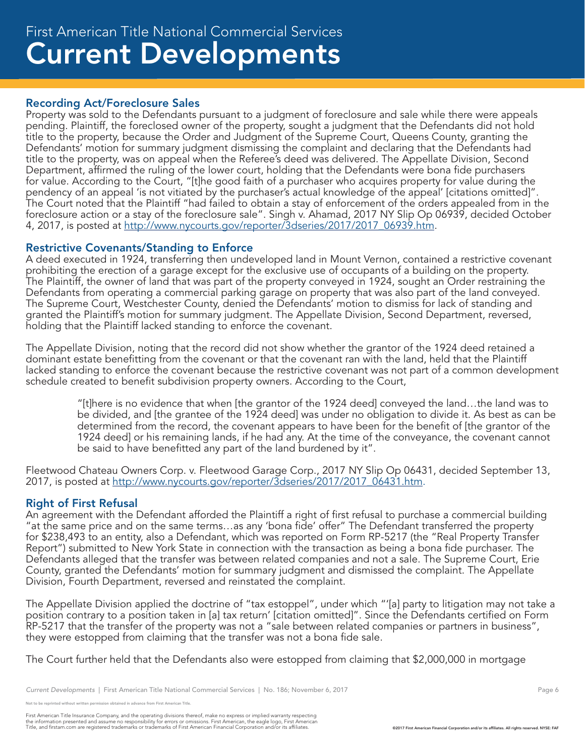## Recording Act/Foreclosure Sales

Property was sold to the Defendants pursuant to a judgment of foreclosure and sale while there were appeals pending. Plaintiff, the foreclosed owner of the property, sought a judgment that the Defendants did not hold title to the property, because the Order and Judgment of the Supreme Court, Queens County, granting the Defendants' motion for summary judgment dismissing the complaint and declaring that the Defendants had title to the property, was on appeal when the Referee's deed was delivered. The Appellate Division, Second Department, affirmed the ruling of the lower court, holding that the Defendants were bona fide purchasers for value. According to the Court, "[t]he good faith of a purchaser who acquires property for value during the pendency of an appeal 'is not vitiated by the purchaser's actual knowledge of the appeal' [citations omitted]". The Court noted that the Plaintiff "had failed to obtain a stay of enforcement of the orders appealed from in the foreclosure action or a stay of the foreclosure sale". Singh v. Ahamad, 2017 NY Slip Op 06939, decided October 4, 2017, is posted at http://www.nycourts.gov/reporter/3dseries/2017/2017\_06939.htm.

# Restrictive Covenants/Standing to Enforce

A deed executed in 1924, transferring then undeveloped land in Mount Vernon, contained a restrictive covenant prohibiting the erection of a garage except for the exclusive use of occupants of a building on the property. The Plaintiff, the owner of land that was part of the property conveyed in 1924, sought an Order restraining the Defendants from operating a commercial parking garage on property that was also part of the land conveyed. The Supreme Court, Westchester County, denied the Defendants' motion to dismiss for lack of standing and granted the Plaintiff's motion for summary judgment. The Appellate Division, Second Department, reversed, holding that the Plaintiff lacked standing to enforce the covenant.

The Appellate Division, noting that the record did not show whether the grantor of the 1924 deed retained a dominant estate benefitting from the covenant or that the covenant ran with the land, held that the Plaintiff lacked standing to enforce the covenant because the restrictive covenant was not part of a common development schedule created to benefit subdivision property owners. According to the Court,

"[t]here is no evidence that when [the grantor of the 1924 deed] conveyed the land…the land was to be divided, and [the grantee of the 1924 deed] was under no obligation to divide it. As best as can be determined from the record, the covenant appears to have been for the benefit of [the grantor of the 1924 deed] or his remaining lands, if he had any. At the time of the conveyance, the covenant cannot be said to have benefitted any part of the land burdened by it".

Fleetwood Chateau Owners Corp. v. Fleetwood Garage Corp., 2017 NY Slip Op 06431, decided September 13, 2017, is posted at http://www.nycourts.gov/reporter/3dseries/2017/2017\_06431.htm.

#### Right of First Refusal

An agreement with the Defendant afforded the Plaintiff a right of first refusal to purchase a commercial building "at the same price and on the same terms…as any 'bona fide' offer" The Defendant transferred the property for \$238,493 to an entity, also a Defendant, which was reported on Form RP-5217 (the "Real Property Transfer Report") submitted to New York State in connection with the transaction as being a bona fide purchaser. The Defendants alleged that the transfer was between related companies and not a sale. The Supreme Court, Erie County, granted the Defendants' motion for summary judgment and dismissed the complaint. The Appellate Division, Fourth Department, reversed and reinstated the complaint.

The Appellate Division applied the doctrine of "tax estoppel", under which "'[a] party to litigation may not take a position contrary to a position taken in [a] tax return' [citation omitted]". Since the Defendants certified on Form RP-5217 that the transfer of the property was not a "sale between related companies or partners in business", they were estopped from claiming that the transfer was not a bona fide sale.

The Court further held that the Defendants also were estopped from claiming that \$2,000,000 in mortgage

Not to be reprinted without written permission obtained in advance from First American Title.

First American Title Insurance Company, and the operating divisions thereof, make no express or implied warranty respecting<br>the information presented and assume no responsibility for errors or omissions. First American end